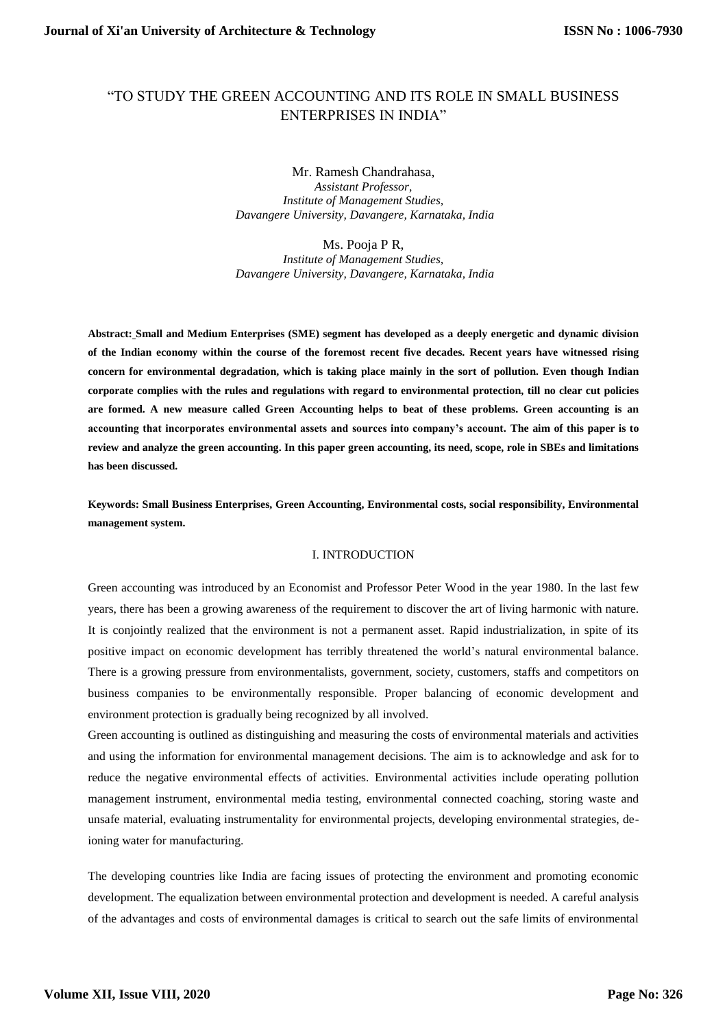# "TO STUDY THE GREEN ACCOUNTING AND ITS ROLE IN SMALL BUSINESS ENTERPRISES IN INDIA"

Mr. Ramesh Chandrahasa, *Assistant Professor, Institute of Management Studies, Davangere University, Davangere, Karnataka, India*

Ms. Pooja P R,

*Institute of Management Studies, Davangere University, Davangere, Karnataka, India*

**Abstract: Small and Medium Enterprises (SME) segment has developed as a deeply energetic and dynamic division of the Indian economy within the course of the foremost recent five decades. Recent years have witnessed rising concern for environmental degradation, which is taking place mainly in the sort of pollution. Even though Indian corporate complies with the rules and regulations with regard to environmental protection, till no clear cut policies are formed. A new measure called Green Accounting helps to beat of these problems. Green accounting is an accounting that incorporates environmental assets and sources into company's account. The aim of this paper is to review and analyze the green accounting. In this paper green accounting, its need, scope, role in SBEs and limitations has been discussed.**

**Keywords: Small Business Enterprises, Green Accounting, Environmental costs, social responsibility, Environmental management system.**

#### I. INTRODUCTION

Green accounting was introduced by an Economist and Professor Peter Wood in the year 1980. In the last few years, there has been a growing awareness of the requirement to discover the art of living harmonic with nature. It is conjointly realized that the environment is not a permanent asset. Rapid industrialization, in spite of its positive impact on economic development has terribly threatened the world's natural environmental balance. There is a growing pressure from environmentalists, government, society, customers, staffs and competitors on business companies to be environmentally responsible. Proper balancing of economic development and environment protection is gradually being recognized by all involved.

Green accounting is outlined as distinguishing and measuring the costs of environmental materials and activities and using the information for environmental management decisions. The aim is to acknowledge and ask for to reduce the negative environmental effects of activities. Environmental activities include operating pollution management instrument, environmental media testing, environmental connected coaching, storing waste and unsafe material, evaluating instrumentality for environmental projects, developing environmental strategies, deioning water for manufacturing.

The developing countries like India are facing issues of protecting the environment and promoting economic development. The equalization between environmental protection and development is needed. A careful analysis of the advantages and costs of environmental damages is critical to search out the safe limits of environmental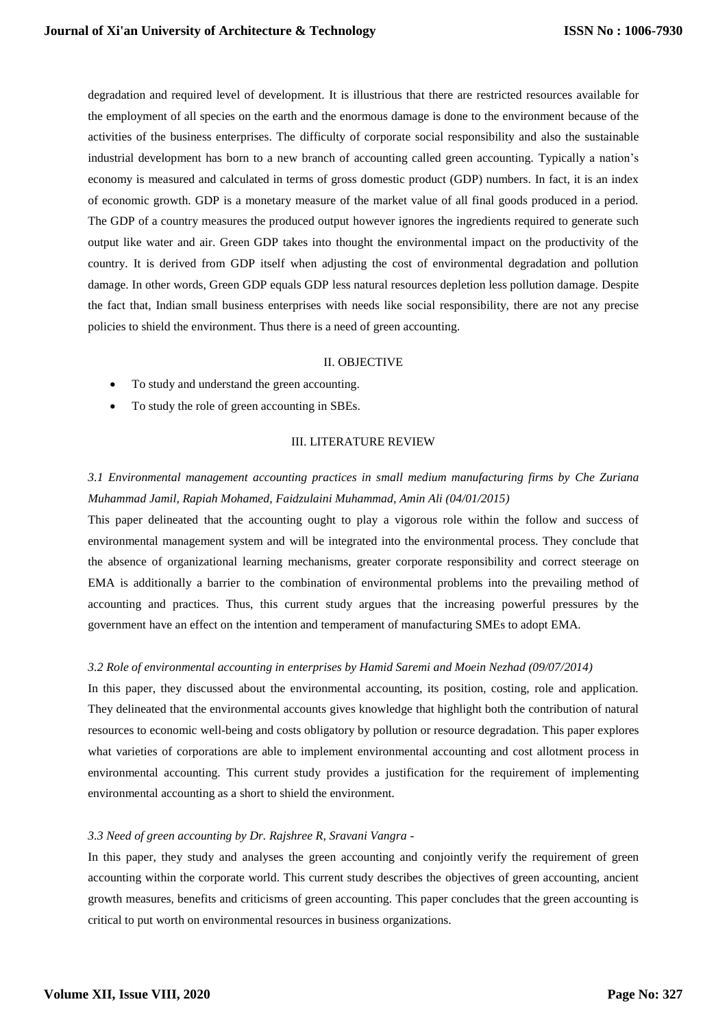degradation and required level of development. It is illustrious that there are restricted resources available for the employment of all species on the earth and the enormous damage is done to the environment because of the activities of the business enterprises. The difficulty of corporate social responsibility and also the sustainable industrial development has born to a new branch of accounting called green accounting. Typically a nation's economy is measured and calculated in terms of gross domestic product (GDP) numbers. In fact, it is an index of economic growth. GDP is a monetary measure of the market value of all final goods produced in a period. The GDP of a country measures the produced output however ignores the ingredients required to generate such output like water and air. Green GDP takes into thought the environmental impact on the productivity of the country. It is derived from GDP itself when adjusting the cost of environmental degradation and pollution damage. In other words, Green GDP equals GDP less natural resources depletion less pollution damage. Despite the fact that, Indian small business enterprises with needs like social responsibility, there are not any precise policies to shield the environment. Thus there is a need of green accounting.

#### II. OBJECTIVE

- To study and understand the green accounting.
- To study the role of green accounting in SBEs.

#### III. LITERATURE REVIEW

# *3.1 Environmental management accounting practices in small medium manufacturing firms by Che Zuriana Muhammad Jamil, Rapiah Mohamed, Faidzulaini Muhammad, Amin Ali (04/01/2015)*

This paper delineated that the accounting ought to play a vigorous role within the follow and success of environmental management system and will be integrated into the environmental process. They conclude that the absence of organizational learning mechanisms, greater corporate responsibility and correct steerage on EMA is additionally a barrier to the combination of environmental problems into the prevailing method of accounting and practices. Thus, this current study argues that the increasing powerful pressures by the government have an effect on the intention and temperament of manufacturing SMEs to adopt EMA.

#### *3.2 Role of environmental accounting in enterprises by Hamid Saremi and Moein Nezhad (09/07/2014)*

In this paper, they discussed about the environmental accounting, its position, costing, role and application. They delineated that the environmental accounts gives knowledge that highlight both the contribution of natural resources to economic well-being and costs obligatory by pollution or resource degradation. This paper explores what varieties of corporations are able to implement environmental accounting and cost allotment process in environmental accounting. This current study provides a justification for the requirement of implementing environmental accounting as a short to shield the environment.

#### *3.3 Need of green accounting by Dr. Rajshree R, Sravani Vangra -*

In this paper, they study and analyses the green accounting and conjointly verify the requirement of green accounting within the corporate world. This current study describes the objectives of green accounting, ancient growth measures, benefits and criticisms of green accounting. This paper concludes that the green accounting is critical to put worth on environmental resources in business organizations.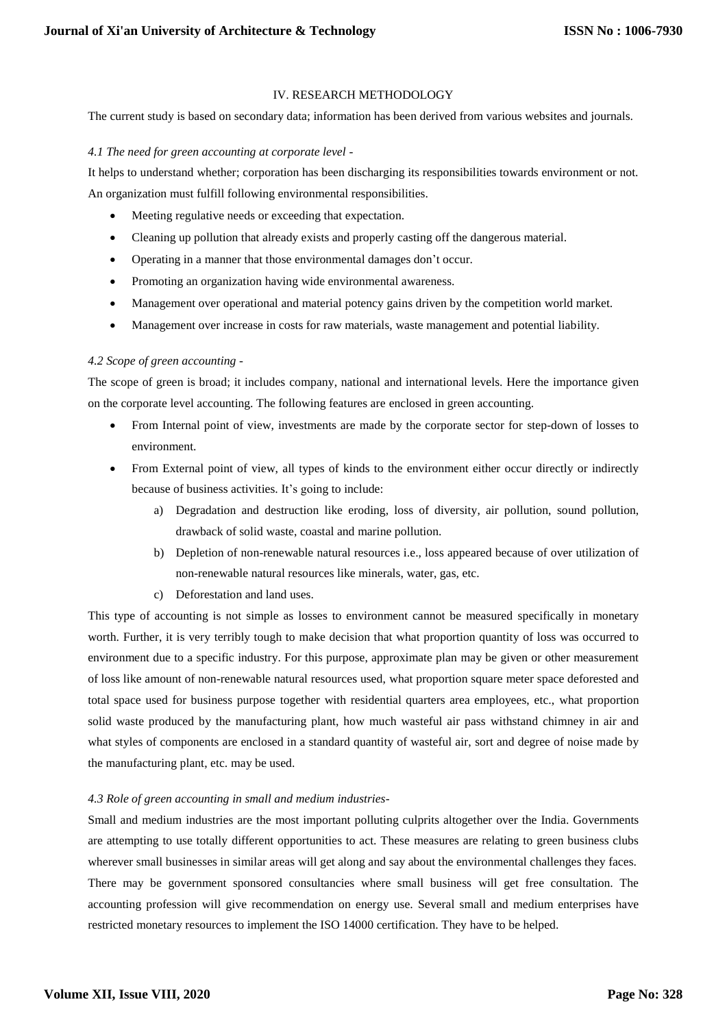# IV. RESEARCH METHODOLOGY

The current study is based on secondary data; information has been derived from various websites and journals.

#### *4.1 The need for green accounting at corporate level -*

It helps to understand whether; corporation has been discharging its responsibilities towards environment or not. An organization must fulfill following environmental responsibilities.

- Meeting regulative needs or exceeding that expectation.
- Cleaning up pollution that already exists and properly casting off the dangerous material.
- Operating in a manner that those environmental damages don't occur.
- Promoting an organization having wide environmental awareness.
- Management over operational and material potency gains driven by the competition world market.
- Management over increase in costs for raw materials, waste management and potential liability.

# *4.2 Scope of green accounting -*

The scope of green is broad; it includes company, national and international levels. Here the importance given on the corporate level accounting. The following features are enclosed in green accounting.

- From Internal point of view, investments are made by the corporate sector for step-down of losses to environment.
- From External point of view, all types of kinds to the environment either occur directly or indirectly because of business activities. It's going to include:
	- a) Degradation and destruction like eroding, loss of diversity, air pollution, sound pollution, drawback of solid waste, coastal and marine pollution.
	- b) Depletion of non-renewable natural resources i.e., loss appeared because of over utilization of non-renewable natural resources like minerals, water, gas, etc.
	- c) Deforestation and land uses.

This type of accounting is not simple as losses to environment cannot be measured specifically in monetary worth. Further, it is very terribly tough to make decision that what proportion quantity of loss was occurred to environment due to a specific industry. For this purpose, approximate plan may be given or other measurement of loss like amount of non-renewable natural resources used, what proportion square meter space deforested and total space used for business purpose together with residential quarters area employees, etc., what proportion solid waste produced by the manufacturing plant, how much wasteful air pass withstand chimney in air and what styles of components are enclosed in a standard quantity of wasteful air, sort and degree of noise made by the manufacturing plant, etc. may be used.

# *4.3 Role of green accounting in small and medium industries-*

Small and medium industries are the most important polluting culprits altogether over the India. Governments are attempting to use totally different opportunities to act. These measures are relating to green business clubs wherever small businesses in similar areas will get along and say about the environmental challenges they faces. There may be government sponsored consultancies where small business will get free consultation. The accounting profession will give recommendation on energy use. Several small and medium enterprises have restricted monetary resources to implement the ISO 14000 certification. They have to be helped.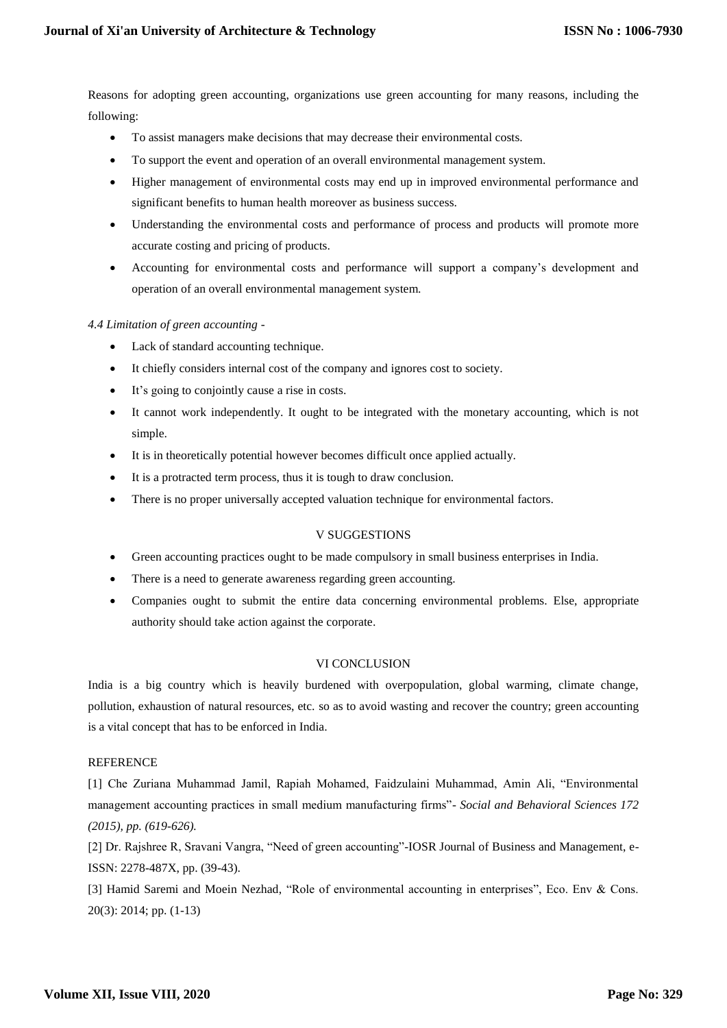Reasons for adopting green accounting, organizations use green accounting for many reasons, including the following:

- To assist managers make decisions that may decrease their environmental costs.
- To support the event and operation of an overall environmental management system.
- Higher management of environmental costs may end up in improved environmental performance and significant benefits to human health moreover as business success.
- Understanding the environmental costs and performance of process and products will promote more accurate costing and pricing of products.
- Accounting for environmental costs and performance will support a company's development and operation of an overall environmental management system.

# *4.4 Limitation of green accounting -*

- Lack of standard accounting technique.
- It chiefly considers internal cost of the company and ignores cost to society.
- It's going to conjointly cause a rise in costs.
- It cannot work independently. It ought to be integrated with the monetary accounting, which is not simple.
- It is in theoretically potential however becomes difficult once applied actually.
- It is a protracted term process, thus it is tough to draw conclusion.
- There is no proper universally accepted valuation technique for environmental factors.

# V SUGGESTIONS

- Green accounting practices ought to be made compulsory in small business enterprises in India.
- There is a need to generate awareness regarding green accounting.
- Companies ought to submit the entire data concerning environmental problems. Else, appropriate authority should take action against the corporate.

# VI CONCLUSION

India is a big country which is heavily burdened with overpopulation, global warming, climate change, pollution, exhaustion of natural resources, etc. so as to avoid wasting and recover the country; green accounting is a vital concept that has to be enforced in India.

#### REFERENCE

[1] Che Zuriana Muhammad Jamil, Rapiah Mohamed, Faidzulaini Muhammad, Amin Ali, "Environmental management accounting practices in small medium manufacturing firms"- *Social and Behavioral Sciences 172 (2015), pp. (619-626).*

[2] Dr. Rajshree R, Sravani Vangra, "Need of green accounting"-IOSR Journal of Business and Management, e-ISSN: 2278-487X, pp. (39-43).

[3] Hamid Saremi and Moein Nezhad, "Role of environmental accounting in enterprises", Eco. Env & Cons. 20(3): 2014; pp. (1-13)